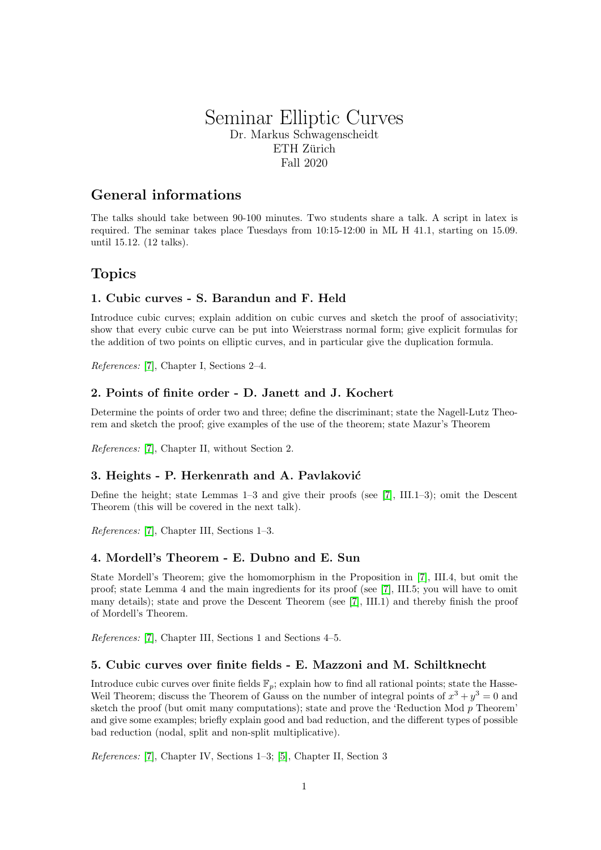# Seminar Elliptic Curves Dr. Markus Schwagenscheidt ETH Zürich Fall 2020

# General informations

The talks should take between 90-100 minutes. Two students share a talk. A script in latex is required. The seminar takes place Tuesdays from 10:15-12:00 in ML H 41.1, starting on 15.09. until 15.12. (12 talks).

# Topics

## 1. Cubic curves - S. Barandun and F. Held

Introduce cubic curves; explain addition on cubic curves and sketch the proof of associativity; show that every cubic curve can be put into Weierstrass normal form; give explicit formulas for the addition of two points on elliptic curves, and in particular give the duplication formula.

References: [\[7\]](#page-2-0), Chapter I, Sections 2–4.

## 2. Points of finite order - D. Janett and J. Kochert

Determine the points of order two and three; define the discriminant; state the Nagell-Lutz Theorem and sketch the proof; give examples of the use of the theorem; state Mazur's Theorem

References: [\[7\]](#page-2-0), Chapter II, without Section 2.

## 3. Heights - P. Herkenrath and A. Pavlaković

Define the height; state Lemmas  $1-3$  and give their proofs (see [\[7\]](#page-2-0), III.1–3); omit the Descent Theorem (this will be covered in the next talk).

References: [\[7\]](#page-2-0), Chapter III, Sections 1–3.

## 4. Mordell's Theorem - E. Dubno and E. Sun

State Mordell's Theorem; give the homomorphism in the Proposition in [\[7\]](#page-2-0), III.4, but omit the proof; state Lemma 4 and the main ingredients for its proof (see [\[7\]](#page-2-0), III.5; you will have to omit many details); state and prove the Descent Theorem (see [\[7\]](#page-2-0), III.1) and thereby finish the proof of Mordell's Theorem.

References: [\[7\]](#page-2-0), Chapter III, Sections 1 and Sections 4–5.

### 5. Cubic curves over finite fields - E. Mazzoni and M. Schiltknecht

Introduce cubic curves over finite fields  $\mathbb{F}_p$ ; explain how to find all rational points; state the Hasse-Weil Theorem; discuss the Theorem of Gauss on the number of integral points of  $x^3 + y^3 = 0$  and sketch the proof (but omit many computations); state and prove the 'Reduction Mod  $p$  Theorem' and give some examples; briefly explain good and bad reduction, and the different types of possible bad reduction (nodal, split and non-split multiplicative).

References: [\[7\]](#page-2-0), Chapter IV, Sections 1–3; [\[5\]](#page-2-1), Chapter II, Section 3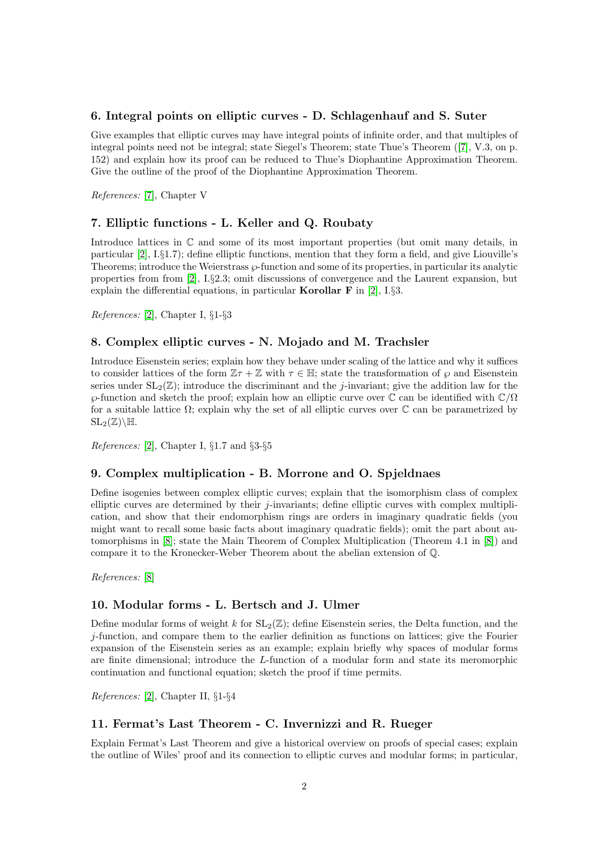## 6. Integral points on elliptic curves - D. Schlagenhauf and S. Suter

Give examples that elliptic curves may have integral points of infinite order, and that multiples of integral points need not be integral; state Siegel's Theorem; state Thue's Theorem ([\[7\]](#page-2-0), V.3, on p. 152) and explain how its proof can be reduced to Thue's Diophantine Approximation Theorem. Give the outline of the proof of the Diophantine Approximation Theorem.

References: [\[7\]](#page-2-0), Chapter V

#### 7. Elliptic functions - L. Keller and Q. Roubaty

Introduce lattices in C and some of its most important properties (but omit many details, in particular [\[2\]](#page-2-2), I.§1.7); define elliptic functions, mention that they form a field, and give Liouville's Theorems: introduce the Weierstrass  $\varphi$ -function and some of its properties, in particular its analytic properties from from [\[2\]](#page-2-2), I.§2.3; omit discussions of convergence and the Laurent expansion, but explain the differential equations, in particular **Korollar F** in [\[2\]](#page-2-2), I. $\S 3$ .

References: [\[2\]](#page-2-2), Chapter I, §1-§3

### 8. Complex elliptic curves - N. Mojado and M. Trachsler

Introduce Eisenstein series; explain how they behave under scaling of the lattice and why it suffices to consider lattices of the form  $\mathbb{Z} \tau + \mathbb{Z}$  with  $\tau \in \mathbb{H}$ ; state the transformation of  $\varphi$  and Eisenstein series under  $SL_2(\mathbb{Z})$ ; introduce the discriminant and the *j*-invariant; give the addition law for the  $\wp$ -function and sketch the proof; explain how an elliptic curve over  $\mathbb C$  can be identified with  $\mathbb C/\Omega$ for a suitable lattice  $\Omega$ ; explain why the set of all elliptic curves over  $\mathbb C$  can be parametrized by  $\mathrm{SL}_2(\mathbb{Z})\backslash\mathbb{H}.$ 

References: [\[2\]](#page-2-2), Chapter I, §1.7 and §3-§5

## 9. Complex multiplication - B. Morrone and O. Spjeldnaes

Define isogenies between complex elliptic curves; explain that the isomorphism class of complex elliptic curves are determined by their j-invariants; define elliptic curves with complex multiplication, and show that their endomorphism rings are orders in imaginary quadratic fields (you might want to recall some basic facts about imaginary quadratic fields); omit the part about automorphisms in [\[8\]](#page-2-3); state the Main Theorem of Complex Multiplication (Theorem 4.1 in [\[8\]](#page-2-3)) and compare it to the Kronecker-Weber Theorem about the abelian extension of Q.

References: [\[8\]](#page-2-3)

### 10. Modular forms - L. Bertsch and J. Ulmer

Define modular forms of weight k for  $SL_2(\mathbb{Z})$ ; define Eisenstein series, the Delta function, and the j-function, and compare them to the earlier definition as functions on lattices; give the Fourier expansion of the Eisenstein series as an example; explain briefly why spaces of modular forms are finite dimensional; introduce the L-function of a modular form and state its meromorphic continuation and functional equation; sketch the proof if time permits.

References: [\[2\]](#page-2-2), Chapter II, §1-§4

## 11. Fermat's Last Theorem - C. Invernizzi and R. Rueger

Explain Fermat's Last Theorem and give a historical overview on proofs of special cases; explain the outline of Wiles' proof and its connection to elliptic curves and modular forms; in particular,